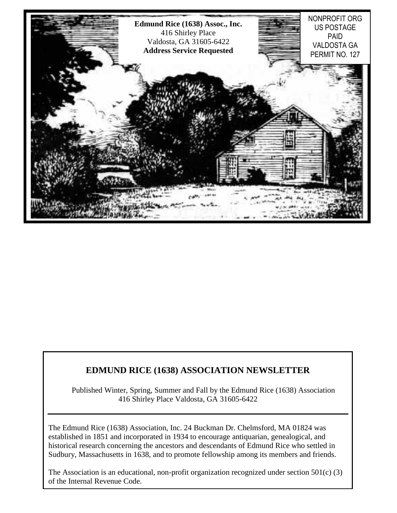

### **EDMUND RICE (1638) ASSOCIATION NEWSLETTER**

Published Winter, Spring, Summer and Fall by the Edmund Rice (1638) Association 416 Shirley Place Valdosta, GA 31605-6422

The Edmund Rice (1638) Association, Inc. 24 Buckman Dr. Chelmsford, MA 01824 was established in 1851 and incorporated in 1934 to encourage antiquarian, genealogical, and historical research concerning the ancestors and descendants of Edmund Rice who settled in Sudbury, Massachusetts in 1638, and to promote fellowship among its members and friends.

1 of the Internal Revenue Code. The Association is an educational, non-profit organization recognized under section 501(c) (3)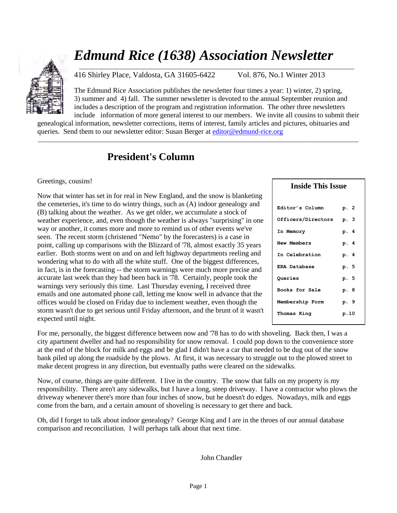# *Edmund Rice (1638) Association Newsletter*



416 Shirley Place, Valdosta, GA 31605-6422 Vol. 876, No.1 Winter 2013

\_\_\_\_\_\_\_\_\_\_\_\_\_\_\_\_\_\_\_\_\_\_\_\_\_\_\_\_\_\_\_\_\_\_\_\_\_\_\_\_\_\_\_\_\_\_\_\_\_\_\_\_\_\_\_\_\_\_\_\_\_\_\_\_\_\_\_\_\_\_\_\_\_\_\_\_\_\_\_\_\_\_\_\_\_

The Edmund Rice Association publishes the newsletter four times a year: 1) winter, 2) spring, 3) summer and 4) fall. The summer newsletter is devoted to the annual September reunion and includes a description of the program and registration information. The other three newsletters include information of more general interest to our members. We invite all cousins to submit their

genealogical information, newsletter corrections, items of interest, family articles and pictures, obituaries and queries. Send them to our newsletter editor: Susan Berger a[t editor@edmund-rice.org](mailto:editor@edmund-rice.org)

 $\_$  , and the set of the set of the set of the set of the set of the set of the set of the set of the set of the set of the set of the set of the set of the set of the set of the set of the set of the set of the set of th

## **President's Column**

### Greetings, cousins!

Now that winter has set in for real in New England, and the snow is blanketing the cemeteries, it's time to do wintry things, such as (A) indoor genealogy and (B) talking about the weather. As we get older, we accumulate a stock of weather experience, and, even though the weather is always "surprising" in one way or another, it comes more and more to remind us of other events we've seen. The recent storm (christened "Nemo" by the forecasters) is a case in point, calling up comparisons with the Blizzard of '78, almost exactly 35 years earlier. Both storms went on and on and left highway departments reeling and wondering what to do with all the white stuff. One of the biggest differences, in fact, is in the forecasting -- the storm warnings were much more precise and accurate last week than they had been back in '78. Certainly, people took the warnings very seriously this time. Last Thursday evening, I received three emails and one automated phone call, letting me know well in advance that the offices would be closed on Friday due to inclement weather, even though the storm wasn't due to get serious until Friday afternoon, and the brunt of it wasn't expected until night.

| <b>Inside This Issue</b> |      |
|--------------------------|------|
|                          |      |
| Editor's Column          | p. 2 |
| Officers/Directors       | p. 3 |
| In Memory                | p. 4 |
| <b>New Members</b>       | p. 4 |
| In Celebration           | р. 4 |
| ERA Database             | p. 5 |
| Queries                  | p. 5 |
| Books for Sale           | p. 8 |
| Membership Form          | p. 9 |
| Thomas King              | p.10 |

For me, personally, the biggest difference between now and '78 has to do with shoveling. Back then, I was a city apartment dweller and had no responsibility for snow removal. I could pop down to the convenience store at the end of the block for milk and eggs and be glad I didn't have a car that needed to be dug out of the snow bank piled up along the roadside by the plows. At first, it was necessary to struggle out to the plowed street to make decent progress in any direction, but eventually paths were cleared on the sidewalks.

Now, of course, things are quite different. I live in the country. The snow that falls on my property is my responsibility. There aren't any sidewalks, but I have a long, steep driveway. I have a contractor who plows the driveway whenever there's more than four inches of snow, but he doesn't do edges. Nowadays, milk and eggs come from the barn, and a certain amount of shoveling is necessary to get there and back.

Oh, did I forget to talk about indoor genealogy? George King and I are in the throes of our annual database comparison and reconciliation. I will perhaps talk about that next time.

John Chandler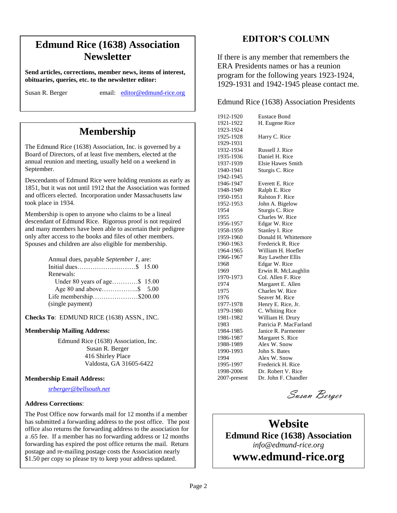## $\alpha$  **Newsletter Edmund Rice (1638) Association**

**President in Freeding, Presidentify, President in Apple School** 183, parties, the to the newsletter exhibit. **Send articles, corrections, member news, items of interest,** 

Susan R. Berger email: [editor@edmund-rice.org](mailto:editor@edmund-rice.org)

## **Membership**

The Edmund Rice (1638) Association, Inc. is governed by a Board of Directors, of at least five members, elected at the annual reunion and meeting, usually held on a weekend in September.

Descendants of Edmund Rice were holding reunions as early as 1851, but it was not until 1912 that the Association was formed and officers elected. Incorporation under Massachusetts law took place in 1934.

Membership is open to anyone who claims to be a lineal descendant of Edmund Rice. Rigorous proof is not required and many members have been able to ascertain their pedigree only after access to the books and files of other members. Spouses and children are also eligible for membership.

| Annual dues, payable September 1, are: |  |
|----------------------------------------|--|
|                                        |  |
| Renewals:                              |  |
| Under 80 years of age\$ 15.00          |  |
|                                        |  |
| Life membership\$200.00                |  |
| (single payment)                       |  |
|                                        |  |

**Checks To**: EDMUND RICE (1638) ASSN., INC.

### **Membership Mailing Address:**

Edmund Rice (1638) Association, Inc. Susan R. Berger 416 Shirley Place Valdosta, GA 31605-6422

### **Membership Email Address:**

*[srberger@bellsouth.net](mailto:srberger@bellsouth.net)*

#### **Address Corrections**:

The Post Office now forwards mail for 12 months if a member has submitted a forwarding address to the post office. The post office also returns the forwarding address to the association for a .65 fee. If a member has no forwarding address or 12 months forwarding has expired the post office returns the mail. Return postage and re-mailing postage costs the Association nearly \$1.50 per copy so please try to keep your address updated.

### **EDITOR'S COLUMN**

If there is any member that remembers the ERA Presidents names or has a reunion program for the following years 1923-1924, 1929-1931 and 1942-1945 please contact me.

Edmund Rice (1638) Association Presidents

| 1912-1920    | <b>Eustace Bond</b>      |
|--------------|--------------------------|
| 1921-1922    | H. Eugene Rice           |
| 1923-1924    |                          |
| 1925-1928    | Harry C. Rice            |
| 1929-1931    |                          |
| 1932-1934    | Russell J. Rice          |
| 1935-1936    | Daniel H. Rice           |
| 1937-1939    | <b>Elsie Hawes Smith</b> |
| 1940-1941    | Sturgis C. Rice          |
| 1942-1945    |                          |
| 1946-1947    | Everett E. Rice          |
| 1948-1949    | Ralph E. Rice            |
| 1950-1951    | Ralston F. Rice          |
| 1952-1953    | John A. Bigelow          |
| 1954         | Sturgis C. Rice          |
| 1955         | Charles W. Rice          |
| 1956-1957    | Edgar W. Rice            |
| 1958-1959    | Stanley I. Rice          |
| 1959-1960    | Donald H. Whittemore     |
| 1960-1963    | Frederick R. Rice        |
| 1964-1965    | William H. Hoefler       |
| 1966-1967    | Ray Lawther Ellis        |
| 1968         | Edgar W. Rice            |
| 1969         | Erwin R. McLaughlin      |
| 1970-1973    | Col. Allen F. Rice       |
| 1974         | Margaret E. Allen        |
| 1975         | Charles W. Rice          |
| 1976         | Seaver M. Rice           |
| 1977-1978    | Henry E. Rice, Jr.       |
| 1979-1980    | C. Whiting Rice          |
| 1981-1982    | William H. Drury         |
| 1983         | Patricia P. MacFarland   |
| 1984-1985    | Janice R. Parmenter      |
| 1986-1987    | Margaret S. Rice         |
| 1988-1989    | Alex W. Snow             |
| 1990-1993    | John S. Bates            |
| 1994         | Alex W. Snow             |
| 1995-1997    | Frederick H. Rice        |
| 1998-2006    | Dr. Robert V. Rice       |
| 2007-present | Dr. John F. Chandler     |

Susan Berger

## **Website Edmund Rice (1638) Association** *info@edmund-rice.org*

**www.edmund-rice.org**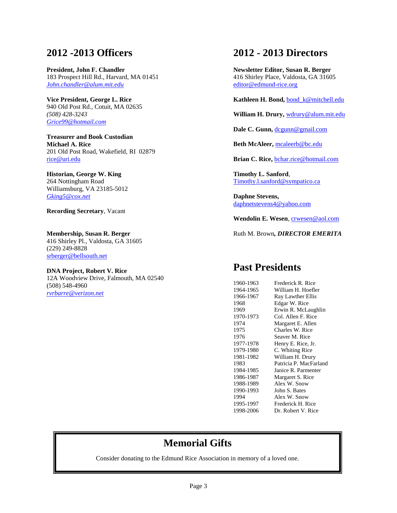## **2012 -2013 Officers**

**President, John F. Chandler** 183 Prospect Hill Rd., Harvard, MA 01451 *[John.chandler@alum.mit.edu](mailto:John.chandler@alum.mit.edu)*

**Vice President, George L. Rice** 940 Old Post Rd., Cotuit, MA 02635 *(508) 428-3243 [Grice99@hotmail.com](mailto:Grice99@hotmail.com)*

**Treasurer and Book Custodian Michael A. Rice** 201 Old Post Road, Wakefield, RI 02879 [rice@uri.edu](mailto:rice@uri.edu)

### **Historian, George W. King**

264 Nottingham Road Williamsburg, VA 23185-5012 *[Gking5@cox.net](mailto:Gking5@cox.net)*

**Recording Secretary**, Vacant

**Membership, Susan R. Berger** 416 Shirley Pl., Valdosta, GA 31605 (229) 249-8828 [srberger@bellsouth.net](mailto:srberger@bellsouth.net)

**DNA Project, Robert V. Rice** 12A Woodview Drive, Falmouth, MA 02540 (508) 548-4960 *[rvrbarre@verizon.net](mailto:rvrbarre@verizon.net)*

### **2012 - 2013 Directors**

**Newsletter Editor, Susan R. Berger** 416 Shirley Place, Valdosta, GA 31605 [editor@edmund-rice.org](mailto:editor@edmund-rice.org)

**Kathleen H. Bond,** [bond\\_k@mitchell.edu](mailto:bond_k@mitchell.edu)

**William H. Drury,** [wdrury@alum.mit.edu](mailto:wdrury@alum.mit.edu)

**Dale C. Gunn,** [dcgunn@gmail.com](mailto:dcgunn@gmail.com)

**Beth McAleer,** [mcaleerb@bc.edu](mailto:mcaleerb@bc.edu)

**Brian C. Rice,** bchar.rice@hotmail.com

**Timothy L. Sanford**, [Timothy.l.sanford@sympatico.ca](mailto:Timothy.l.sanford@sympatico.ca)

**Daphne Stevens,** [daphnetstevens4@yahoo.com](mailto:daphnetstevens4@yahoo.com)

Wendolin E. Wesen, [crwesen@aol.com](mailto:crwesen@aol.com)

Ruth M. Brown*, DIRECTOR EMERITA*

### **Past Presidents**

| 1960-1963 | Frederick R. Rice      |
|-----------|------------------------|
| 1964-1965 | William H. Hoefler     |
| 1966-1967 | Ray Lawther Ellis      |
| 1968      | Edgar W. Rice          |
| 1969      | Erwin R. McLaughlin    |
| 1970-1973 | Col. Allen F. Rice     |
| 1974      | Margaret E. Allen      |
| 1975      | Charles W. Rice        |
| 1976      | Seaver M. Rice         |
| 1977-1978 | Henry E. Rice, Jr.     |
| 1979-1980 | C. Whiting Rice        |
| 1981-1982 | William H. Drury       |
| 1983      | Patricia P. MacFarland |
| 1984-1985 | Janice R. Parmenter    |
| 1986-1987 | Margaret S. Rice       |
| 1988-1989 | Alex W. Snow           |
| 1990-1993 | John S. Bates          |
| 1994      | Alex W. Snow           |
| 1995-1997 | Frederick H. Rice      |
| 1998-2006 | Dr. Robert V. Rice     |
|           |                        |

## **Memorial Gifts**

Consider donating to the Edmund Rice Association in memory of a loved one.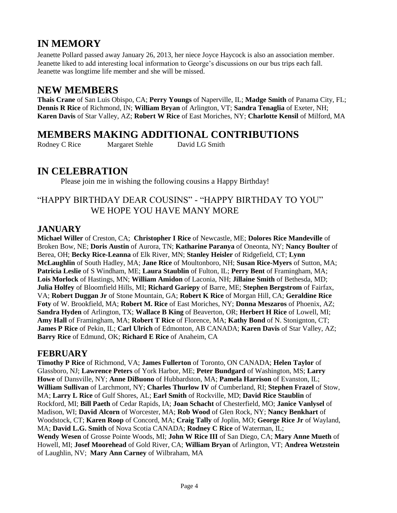## **IN MEMORY**

Jeanette Pollard passed away January 26, 2013, her niece Joyce Haycock is also an association member. Jeanette liked to add interesting local information to George's discussions on our bus trips each fall. Jeanette was longtime life member and she will be missed.

## **NEW MEMBERS**

**Thais Crane** of San Luis Obispo, CA; **Perry Youngs** of Naperville, IL; **Madge Smith** of Panama City, FL; **Dennis R Rice** of Richmond, IN; **William Bryan** of Arlington, VT; **Sandra Tenaglia** of Exeter, NH; **Karen Davis** of Star Valley, AZ; **Robert W Rice** of East Moriches, NY; **Charlotte Kensil** of Milford, MA

## **MEMBERS MAKING ADDITIONAL CONTRIBUTIONS**

Rodney C Rice Margaret Stehle David LG Smith

## **IN CELEBRATION**

Please join me in wishing the following cousins a Happy Birthday!

### "HAPPY BIRTHDAY DEAR COUSINS" - "HAPPY BIRTHDAY TO YOU" WE HOPE YOU HAVE MANY MORE

### **JANUARY**

**Michael Willer** of Creston, CA; **Christopher I Rice** of Newcastle, ME; **Dolores Rice Mandeville** of Broken Bow, NE; **Doris Austin** of Aurora, TN; **Katharine Paranya** of Oneonta, NY; **Nancy Boulter** of Berea, OH; **Becky Rice-Leanna** of Elk River, MN; **Stanley Heisler** of Ridgefield, CT; **Lynn McLaughlin** of South Hadley, MA; **Jane Rice** of Moultonboro, NH; **Susan Rice-Myers** of Sutton, MA; **Patricia Leslie** of S Windham, ME; **Laura Staublin** of Fulton, IL; **Perry Bent** of Framingham, MA; **Lois Morlock** of Hastings, MN; **William Amidon** of Laconia, NH; **Jillaine Smith** of Bethesda, MD; **Julia Holfey** of Bloomfield Hills, MI; **Richard Gariepy** of Barre, ME; **Stephen Bergstrom** of Fairfax, VA; **Robert Duggan Jr** of Stone Mountain, GA; **Robert K Rice** of Morgan Hill, CA; **Geraldine Rice Foty** of W. Brookfield, MA; **Robert M. Rice** of East Moriches, NY; **Donna Meszaros** of Phoenix, AZ; **Sandra Hyden** of Arlington, TX; **Wallace B King** of Beaverton, OR; **Herbert H Rice** of Lowell, MI; **Amy Hall** of Framingham, MA; **Robert T Rice** of Florence, MA; **Kathy Bond** of N. Stonignton, CT; **James P Rice** of Pekin, IL; **Carl Ulrich** of Edmonton, AB CANADA; **Karen Davis** of Star Valley, AZ; **Barry Rice** of Edmund, OK; **Richard E Rice** of Anaheim, CA

### **FEBRUARY**

**Timothy P Rice** of Richmond, VA; **James Fullerton** of Toronto, ON CANADA; **Helen Taylor** of Glassboro, NJ; **Lawrence Peters** of York Harbor, ME; **Peter Bundgard** of Washington, MS; **Larry Howe** of Dansville, NY; **Anne DiBuono** of Hubbardston, MA; **Pamela Harrison** of Evanston, IL; **William Sullivan** of Larchmont, NY; **Charles Thurlow IV** of Cumberland, RI; **Stephen Frazel** of Stow, MA; **Larry L Rice** of Gulf Shores, AL; **Earl Smith** of Rockville, MD; **David Rice Staublin** of Rockford, MI; **Bill Paeth** of Cedar Rapids, IA; **Joan Schacht** of Chesterfield, MO; **Janice Vanlysel** of Madison, WI; **David Alcorn** of Worcester, MA; **Rob Wood** of Glen Rock, NY; **Nancy Benkhart** of Woodstock, CT; **Karen Roop** of Concord, MA; **Craig Tally** of Joplin, MO; **George Rice Jr** of Wayland, MA; **David L.G. Smith** of Nova Scotia CANADA; **Rodney C Rice** of Waterman, IL; **Wendy Wesen** of Grosse Pointe Woods, MI; **John W Rice III** of San Diego, CA; **Mary Anne Mueth** of Howell, MI; **Josef Moorehead** of Gold River, CA; **William Bryan** of Arlington, VT; **Andrea Wetzstein** of Laughlin, NV; **Mary Ann Carney** of Wilbraham, MA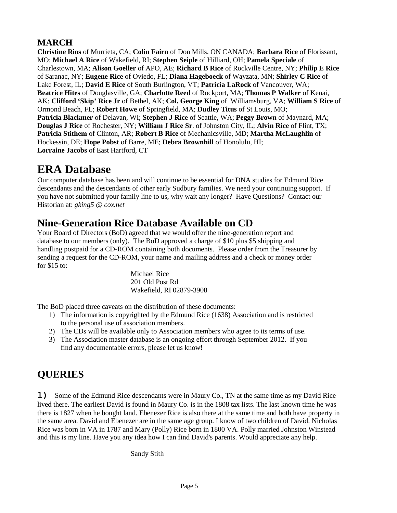### **MARCH**

**Christine Rios** of Murrieta, CA; **Colin Fairn** of Don Mills, ON CANADA; **Barbara Rice** of Florissant, MO; **Michael A Rice** of Wakefield, RI; **Stephen Seiple** of Hilliard, OH; **Pamela Speciale** of Charlestown, MA; **Alison Goeller** of APO, AE; **Richard B Rice** of Rockville Centre, NY; **Philip E Rice** of Saranac, NY; **Eugene Rice** of Oviedo, FL; **Diana Hageboeck** of Wayzata, MN; **Shirley C Rice** of Lake Forest, IL; **David E Rice** of South Burlington, VT; **Patricia LaRock** of Vancouver, WA; **Beatrice Hites** of Douglasville, GA; **Charlotte Reed** of Rockport, MA; **Thomas P Walker** of Kenai, AK; **Clifford 'Skip' Rice Jr** of Bethel, AK; **Col. George King** of Williamsburg, VA; **William S Rice** of Ormond Beach, FL; **Robert Howe** of Springfield, MA; **Dudley Titus** of St Louis, MO; **Patricia Blackmer** of Delavan, WI; **Stephen J Rice** of Seattle, WA; **Peggy Brown** of Maynard, MA; **Douglas J Rice** of Rochester, NY; **William J Rice Sr**. of Johnston City, IL; **Alvin Rice** of Flint, TX; **Patricia Stithem** of Clinton, AR; **Robert B Rice** of Mechanicsville, MD; **Martha McLaughlin** of Hockessin, DE; **Hope Pobst** of Barre, ME; **Debra Brownhill** of Honolulu, HI; **Lorraine Jacobs** of East Hartford, CT

## **ERA Database**

Our computer database has been and will continue to be essential for DNA studies for Edmund Rice descendants and the descendants of other early Sudbury families. We need your continuing support. If you have not submitted your family line to us, why wait any longer? Have Questions? Contact our Historian at: *[gking5 @ cox.net](mailto:gking5@cox.net)*

## **Nine-Generation Rice Database Available on CD**

Your Board of Directors (BoD) agreed that we would offer the nine-generation report and database to our members (only). The BoD approved a charge of \$10 plus \$5 shipping and handling postpaid for a CD-ROM containing both documents. Please order from the Treasurer by sending a request for the CD-ROM, your name and mailing address and a check or money order for \$15 to:

> Michael Rice 201 Old Post Rd Wakefield, RI 02879-3908

The BoD placed three caveats on the distribution of these documents:

- 1) The information is copyrighted by the Edmund Rice (1638) Association and is restricted to the personal use of association members.
- 2) The CDs will be available only to Association members who agree to its terms of use.
- 3) The Association master database is an ongoing effort through September 2012. If you find any documentable errors, please let us know!

## **QUERIES**

**1)** Some of the Edmund Rice descendants were in Maury Co., TN at the same time as my David Rice lived there. The earliest David is found in Maury Co. is in the 1808 tax lists. The last known time he was there is 1827 when he bought land. Ebenezer Rice is also there at the same time and both have property in the same area. David and Ebenezer are in the same age group. I know of two children of David. Nicholas Rice was born in VA in 1787 and Mary (Polly) Rice born in 1800 VA. Polly married Johnston Winstead and this is my line. Have you any idea how I can find David's parents. Would appreciate any help.

Sandy Stith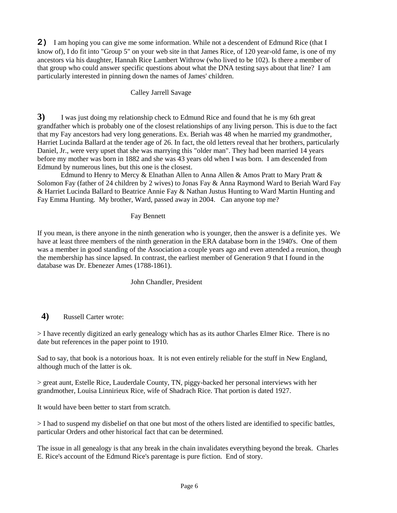**2)** I am hoping you can give me some information. While not a descendent of Edmund Rice (that I know of), I do fit into "Group 5" on your web site in that James Rice, of 120 year-old fame, is one of my ancestors via his daughter, Hannah Rice Lambert Withrow (who lived to be 102). Is there a member of that group who could answer specific questions about what the DNA testing says about that line? I am particularly interested in pinning down the names of James' children.

### Calley Jarrell Savage

**3)** I was just doing my relationship check to Edmund Rice and found that he is my 6th great grandfather which is probably one of the closest relationships of any living person. This is due to the fact that my Fay ancestors had very long generations. Ex. Beriah was 48 when he married my grandmother, Harriet Lucinda Ballard at the tender age of 26. In fact, the old letters reveal that her brothers, particularly Daniel, Jr., were very upset that she was marrying this "older man". They had been married 14 years before my mother was born in 1882 and she was 43 years old when I was born. I am descended from Edmund by numerous lines, but this one is the closest.

Edmund to Henry to Mercy & Elnathan Allen to Anna Allen & Amos Pratt to Mary Pratt & Solomon Fay (father of 24 children by 2 wives) to Jonas Fay & Anna Raymond Ward to Beriah Ward Fay & Harriet Lucinda Ballard to Beatrice Annie Fay & Nathan Justus Hunting to Ward Martin Hunting and Fay Emma Hunting. My brother, Ward, passed away in 2004. Can anyone top me?

### Fay Bennett

If you mean, is there anyone in the ninth generation who is younger, then the answer is a definite yes. We have at least three members of the ninth generation in the ERA database born in the 1940's. One of them was a member in good standing of the Association a couple years ago and even attended a reunion, though the membership has since lapsed. In contrast, the earliest member of Generation 9 that I found in the database was Dr. Ebenezer Ames (1788-1861).

### John Chandler, President

### **4)** Russell Carter wrote:

> I have recently digitized an early genealogy which has as its author Charles Elmer Rice. There is no date but references in the paper point to 1910.

Sad to say, that book is a notorious hoax. It is not even entirely reliable for the stuff in New England, although much of the latter is ok.

> great aunt, Estelle Rice, Lauderdale County, TN, piggy-backed her personal interviews with her grandmother, Louisa Linnirieux Rice, wife of Shadrach Rice. That portion is dated 1927.

It would have been better to start from scratch.

> I had to suspend my disbelief on that one but most of the others listed are identified to specific battles, particular Orders and other historical fact that can be determined.

The issue in all genealogy is that any break in the chain invalidates everything beyond the break. Charles E. Rice's account of the Edmund Rice's parentage is pure fiction. End of story.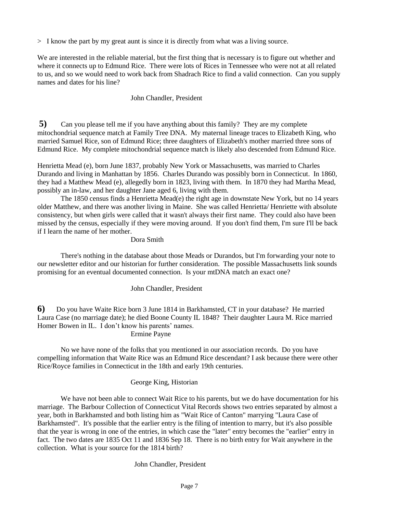> I know the part by my great aunt is since it is directly from what was a living source.

We are interested in the reliable material, but the first thing that is necessary is to figure out whether and where it connects up to Edmund Rice. There were lots of Rices in Tennessee who were not at all related to us, and so we would need to work back from Shadrach Rice to find a valid connection. Can you supply names and dates for his line?

### John Chandler, President

**5)** Can you please tell me if you have anything about this family? They are my complete mitochondrial sequence match at Family Tree DNA. My maternal lineage traces to Elizabeth King, who married Samuel Rice, son of Edmund Rice; three daughters of Elizabeth's mother married three sons of Edmund Rice. My complete mitochondrial sequence match is likely also descended from Edmund Rice.

Henrietta Mead (e), born June 1837, probably New York or Massachusetts, was married to Charles Durando and living in Manhattan by 1856. Charles Durando was possibly born in Connecticut. In 1860, they had a Matthew Mead (e), allegedly born in 1823, living with them. In 1870 they had Martha Mead, possibly an in-law, and her daughter Jane aged 6, living with them.

The 1850 census finds a Henrietta Mead(e) the right age in downstate New York, but no 14 years older Matthew, and there was another living in Maine. She was called Henrietta/ Henriette with absolute consistency, but when girls were called that it wasn't always their first name. They could also have been missed by the census, especially if they were moving around. If you don't find them, I'm sure I'll be back if I learn the name of her mother.

#### Dora Smith

There's nothing in the database about those Meads or Durandos, but I'm forwarding your note to our newsletter editor and our historian for further consideration. The possible Massachusetts link sounds promising for an eventual documented connection. Is your mtDNA match an exact one?

### John Chandler, President

**6)** Do you have Waite Rice born 3 June 1814 in Barkhamsted, CT in your database? He married Laura Case (no marriage date); he died Boone County IL 1848? Their daughter Laura M. Rice married Homer Bowen in IL. I don't know his parents' names.

#### Ermine Payne

No we have none of the folks that you mentioned in our association records. Do you have compelling information that Waite Rice was an Edmund Rice descendant? I ask because there were other Rice/Royce families in Connecticut in the 18th and early 19th centuries.

### George King, Historian

We have not been able to connect Wait Rice to his parents, but we do have documentation for his marriage. The Barbour Collection of Connecticut Vital Records shows two entries separated by almost a year, both in Barkhamsted and both listing him as "Wait Rice of Canton" marrying "Laura Case of Barkhamsted". It's possible that the earlier entry is the filing of intention to marry, but it's also possible that the year is wrong in one of the entries, in which case the "later" entry becomes the "earlier" entry in fact. The two dates are 1835 Oct 11 and 1836 Sep 18. There is no birth entry for Wait anywhere in the collection. What is your source for the 1814 birth?

### John Chandler, President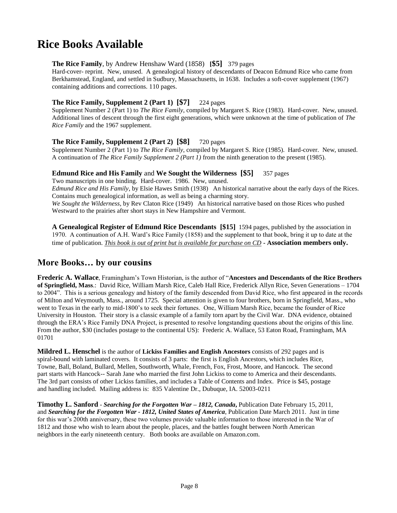## **Rice Books Available**

### **The Rice Family**, by Andrew Henshaw Ward (1858) **[\$5]** 379 pages

Hard-cover- reprint. New, unused. A genealogical history of descendants of Deacon Edmund Rice who came from Berkhamstead, England, and settled in Sudbury, Massachusetts, in 1638. Includes a soft-cover supplement (1967) containing additions and corrections. 110 pages.

#### **The Rice Family, Supplement 2 (Part 1) [\$7]** 224 pages

Supplement Number 2 (Part 1) to *The Rice Family*, compiled by Margaret S. Rice (1983). Hard-cover. New, unused. Additional lines of descent through the first eight generations, which were unknown at the time of publication of *The Rice Family* and the 1967 supplement.

### **The Rice Family, Supplement 2 (Part 2) [\$8]** 720 pages

Supplement Number 2 (Part 1) to *The Rice Family*, compiled by Margaret S. Rice (1985). Hard-cover. New, unused. A continuation of *The Rice Family Supplement 2 (Part 1)* from the ninth generation to the present (1985).

#### **Edmund Rice and His Family** and **We Sought the Wilderness [\$5]** 357 pages

Two manuscripts in one binding. Hard-cover. 1986. New, unused. *Edmund Rice and His Family*, by Elsie Hawes Smith (1938) An historical narrative about the early days of the Rices. Contains much genealogical information, as well as being a charming story. *We Sought the Wilderness*, by Rev Claton Rice (1949) An historical narrative based on those Rices who pushed Westward to the prairies after short stays in New Hampshire and Vermont.

**A Genealogical Register of Edmund Rice Descendants [\$15]** 1594 pages, published by the association in 1970. A continuation of A.H. Ward's Rice Family (1858) and the supplement to that book, bring it up to date at the time of publication. *This book is out of print but is available for purchase on CD -* **Association members only.**

### **More Books… by our cousins**

**Frederic A. Wallace**, Framingham's Town Historian, is the author of "**Ancestors and Descendants of the Rice Brothers of Springfield, Mass**.: David Rice, William Marsh Rice, Caleb Hall Rice, Frederick Allyn Rice, Seven Generations – 1704 to 2004". This is a serious genealogy and history of the family descended from David Rice, who first appeared in the records of Milton and Weymouth, Mass., around 1725. Special attention is given to four brothers, born in Springfield, Mass., who went to Texas in the early to mid-1800's to seek their fortunes. One, William Marsh Rice, became the founder of Rice University in Houston. Their story is a classic example of a family torn apart by the Civil War. DNA evidence, obtained through the ERA's Rice Family DNA Project, is presented to resolve longstanding questions about the origins of this line. From the author, \$30 (includes postage to the continental US): Frederic A. Wallace, 53 Eaton Road, Framingham, MA 01701

**Mildred L. Henschel** is the author of **Lickiss Families and English Ancestors** consists of 292 pages and is spiral-bound with laminated covers. It consists of 3 parts: the first is English Ancestors, which includes Rice, Towne, Ball, Boland, Bullard, Mellen, Southworth, Whale, French, Fox, Frost, Moore, and Hancock. The second part starts with Hancock-- Sarah Jane who married the first John Lickiss to come to America and their descendants. The 3rd part consists of other Lickiss families, and includes a Table of Contents and Index. Price is \$45, postage and handling included. Mailing address is: 835 Valentine Dr., Dubuque, IA. 52003-0211

**Timothy L. Sanford** - *Searching for the Forgotten War – 1812, Canada***,** Publication Date February 15, 2011, and *Searching for the Forgotten War - 1812, United States of America*, Publication Date March 2011. Just in time for this war's 200th anniversary, these two volumes provide valuable information to those interested in the War of 1812 and those who wish to learn about the people, places, and the battles fought between North American neighbors in the early nineteenth century. Both books are available on Amazon.com.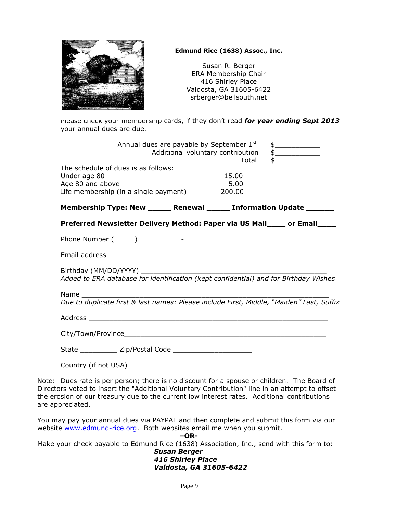

### **Edmund Rice (1638) Assoc., Inc.**

Susan R. Berger ERA Membership Chair 416 Shirley Place Valdosta, GA 31605-6422 srberger@bellsouth.net

Please check your membership cards, if they don't read *for year ending Sept 2013*  your annual dues are due.

|                                                                                                                  | Annual dues are payable by September 1st<br>Additional voluntary contribution | Total                   | $\frac{1}{2}$<br>$\frac{1}{2}$<br>$\mathfrak{S}$                                                                                                                                                                                                                                            |
|------------------------------------------------------------------------------------------------------------------|-------------------------------------------------------------------------------|-------------------------|---------------------------------------------------------------------------------------------------------------------------------------------------------------------------------------------------------------------------------------------------------------------------------------------|
| The schedule of dues is as follows:<br>Under age 80<br>Age 80 and above<br>Life membership (in a single payment) |                                                                               | 15.00<br>5.00<br>200.00 |                                                                                                                                                                                                                                                                                             |
|                                                                                                                  |                                                                               |                         | Membership Type: New ______ Renewal _____ Information Update ______                                                                                                                                                                                                                         |
|                                                                                                                  |                                                                               |                         | Preferred Newsletter Delivery Method: Paper via US Mail____ or Email____                                                                                                                                                                                                                    |
|                                                                                                                  |                                                                               |                         |                                                                                                                                                                                                                                                                                             |
|                                                                                                                  |                                                                               |                         |                                                                                                                                                                                                                                                                                             |
|                                                                                                                  |                                                                               |                         |                                                                                                                                                                                                                                                                                             |
| Name and the set of the set of the set of the set of the set of the set of the set of the set of the set of th   |                                                                               |                         | Due to duplicate first & last names: Please include First, Middle, "Maiden" Last, Suffix                                                                                                                                                                                                    |
|                                                                                                                  |                                                                               |                         |                                                                                                                                                                                                                                                                                             |
|                                                                                                                  |                                                                               |                         |                                                                                                                                                                                                                                                                                             |
|                                                                                                                  |                                                                               |                         |                                                                                                                                                                                                                                                                                             |
|                                                                                                                  |                                                                               |                         |                                                                                                                                                                                                                                                                                             |
| are appreciated.                                                                                                 |                                                                               |                         | Note: Dues rate is per person; there is no discount for a spouse or children. The Board of<br>Directors voted to insert the "Additional Voluntary Contribution" line in an attempt to offset<br>the erosion of our treasury due to the current low interest rates. Additional contributions |
| website www.edmund-rice.org. Both websites email me when you submit.                                             |                                                                               |                         | You may pay your annual dues via PAYPAL and then complete and submit this form via our                                                                                                                                                                                                      |
|                                                                                                                  | $-OR-$                                                                        |                         | Make your check payable to Edmund Rice (1638) Association, Inc., send with this form to:                                                                                                                                                                                                    |

*Susan Berger 416 Shirley Place Valdosta, GA 31605-6422*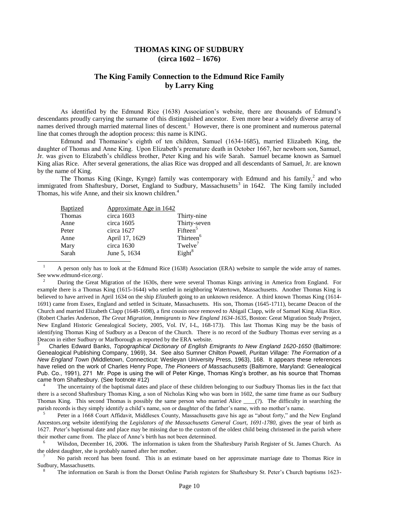### **THOMAS KING OF SUDBURY (circa 1602 – 1676)**

### **The King Family Connection to the Edmund Rice Family by Larry King**

As identified by the Edmund Rice (1638) Association's website, there are thousands of Edmund's descendants proudly carrying the surname of this distinguished ancestor. Even more bear a widely diverse array of names derived through married maternal lines of descent.<sup>1</sup> However, there is one prominent and numerous paternal line that comes through the adoption process: this name is KING.

Edmund and Thomasine's eighth of ten children, Samuel (1634-1685), married Elizabeth King, the daughter of Thomas and Anne King. Upon Elizabeth's premature death in October 1667, her newborn son, Samuel, Jr. was given to Elizabeth's childless brother, Peter King and his wife Sarah. Samuel became known as Samuel King alias Rice. After several generations, the alias Rice was dropped and all descendants of Samuel, Jr. are known by the name of King.

The Thomas King (Kinge, Kynge) family was contemporary with Edmund and his family, $^2$  and who immigrated from Shaftesbury, Dorset, England to Sudbury, Massachusetts<sup>3</sup> in 1642. The King family included Thomas, his wife Anne, and their six known children.<sup>4</sup>

| <b>Baptized</b> | Approximate Age in 1642 |                       |
|-----------------|-------------------------|-----------------------|
| <b>Thomas</b>   | circa 1603              | Thirty-nine           |
| Anne            | circa 1605              | Thirty-seven          |
| Peter           | circa 1627              | Fifteen <sup>5</sup>  |
| Anne            | April 17, 1629          | Thirteen <sup>6</sup> |
| Mary            | circa 1630              | Twelve <sup>7</sup>   |
| Sarah           | June 5, 1634            | Eight <sup>8</sup>    |

l

<sup>1</sup> A person only has to look at the Edmund Rice (1638) Association (ERA) website to sample the wide array of names. See www.edmund-rice.org/.

<sup>2</sup> During the Great Migration of the 1630s, there were several Thomas Kings arriving in America from England. For example there is a Thomas King (1615-1644) who settled in neighboring Watertown, Massachusetts. Another Thomas King is believed to have arrived in April 1634 on the ship *Elizabeth* going to an unknown residence. A third known Thomas King (1614- 1691) came from Essex, England and settled in Scituate, Massachusetts. His son, Thomas (1645-1711), became Deacon of the Church and married Elizabeth Clapp (1648-1698), a first cousin once removed to Abigail Clapp, wife of Samuel King Alias Rice. (Robert Charles Anderson, *The Great Migration, Immigrants to New England 1634-1635*, Boston: Great Migration Study Project, New England Historic Genealogical Society, 2005, Vol. IV, I-L, 168-173). This last Thomas King may be the basis of identifying Thomas King of Sudbury as a Deacon of the Church. There is no record of the Sudbury Thomas ever serving as a Deacon in either Sudbury or Marlborough as reported by the ERA website.

<sup>3</sup> Charles Edward Banks, *Topographical Dictionary of English Emigrants to New England 1620-1650* (Baltimore: Genealogical Publishing Company, 1969), 34. See also Sumner Chilton Powell, *Puritan Village: The Formation of a New England Town* (Middletown, Connecticut: Wesleyan University Press, 1963), 168. It appears these references have relied on the work of Charles Henry Pope, *The Pioneers of Massachusetts* (Baltimore, Maryland: Genealogical Pub. Co., 1991), 271 Mr. Pope is using the will of Peter Kinge, Thomas King's brother, as his source that Thomas came from Shaftesbury. (See footnote #12)

The uncertainty of the baptismal dates and place of these children belonging to our Sudbury Thomas lies in the fact that there is a second Shaftesbury Thomas King, a son of Nicholas King who was born in 1602, the same time frame as our Sudbury Thomas King. This second Thomas is possibly the same person who married Alice \_\_\_\_(?). The difficulty in searching the parish records is they simply identify a child's name, son or daughter of the father's name, with no mother's name.

5 Peter in a 1668 Court Affidavit, Middlesex County, Massachusetts gave his age as "about forty," and the New England Ancestors.org website identifying the *Legislators of the Massachusetts General Court, 1691-1780*, gives the year of birth as 1627. Peter's baptismal date and place may be missing due to the custom of the oldest child being christened in the parish where their mother came from. The place of Anne's birth has not been determined.

<sup>6</sup> Wilsdon, December 16, 2006. The information is taken from the Shaftesbury Parish Register of St. James Church. As the oldest daughter, she is probably named after her mother.

<sup>7</sup> No parish record has been found. This is an estimate based on her approximate marriage date to Thomas Rice in Sudbury, Massachusetts.

<sup>8</sup> The information on Sarah is from the Dorset Online Parish registers for Shaftesbury St. Peter's Church baptisms 1623-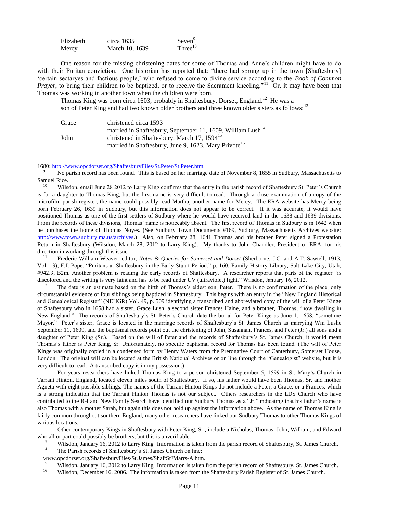| Elizabeth | circa $1635$   | $S$ even $^{9}$ |
|-----------|----------------|-----------------|
| Mercy     | March 10, 1639 | Three $10$      |

One reason for the missing christening dates for some of Thomas and Anne's children might have to do with their Puritan conviction. One historian has reported that: "there had sprung up in the town [Shaftesbury] 'certain sectaryes and factious people,' who refused to come to divine service according to the *Book of Common Prayer*, to bring their children to be baptized, or to receive the Sacrament kneeling."<sup>11</sup> Or, it may have been that Thomas was working in another town when the children were born.

Thomas King was born circa 1603, probably in Shaftesbury, Dorset, England.<sup>12</sup> He was a son of Peter King and had two known older brothers and three known older sisters as follows:<sup>13</sup>

| Grace | christened circa 1593                                                  |
|-------|------------------------------------------------------------------------|
|       | married in Shaftesbury, September 11, 1609, William Lush <sup>14</sup> |
| John  | christened in Shaftesbury, March 17, 1594 <sup>15</sup>                |
|       | married in Shaftesbury, June 9, 1623, Mary Privote <sup>16</sup>       |

1680[: http://www.opcdorset.org/ShaftesburyFiles/St.Peter/St.Peter.htm.](http://www.opcdorset.org/ShaftesburyFiles/St.Peter/St.Peter.htm)

-

<sup>9</sup> No parish record has been found. This is based on her marriage date of November 8, 1655 in Sudbury, Massachusetts to Samuel Rice.

<sup>10</sup> Wilsdon, email June 28 2012 to Larry King confirms that the entry in the parish record of Shaftesbury St. Peter's Church is for a daughter to Thomas King, but the first name is very difficult to read. Through a close examination of a copy of the microfilm parish register, the name could possibly read Martha, another name for Mercy. The ERA website has Mercy being born February 26, 1639 in Sudbury, but this information does not appear to be correct. If it was accurate, it would have positioned Thomas as one of the first settlers of Sudbury where he would have received land in the 1638 and 1639 divisions. From the records of these divisions, Thomas' name is noticeably absent. The first record of Thomas in Sudbury is in 1642 when he purchases the home of Thomas Noyes. (See Sudbury Town Documents #169, Sudbury, Massachusetts Archives website: [http://www.town.sudbury.ma.us/archives.](http://www.town.sudbury.ma.us/archives/)) Also, on February 28, 1641 Thomas and his brother Peter signed a Protestation Return in Shaftesbury (Wilsdon, March 28, 2012 to Larry King). My thanks to John Chandler, President of ERA, for his direction in working through this issue

<sup>11</sup> Frederic William Weaver, editor, *Notes & Queries for Somerset and Dorset* (Sherborne: J.C. and A.T. Sawtell, 1913, Vol. 13), F.J. Pope, "Puritans at Shaftesbury in the Early Stuart Period," p. 160, Family History Library, Salt Lake City, Utah, #942.3, B2m. Another problem is reading the early records of Shaftesbury. A researcher reports that parts of the register "is discolored and the writing is very faint and has to be read under UV (ultraviolet) light." Wilsdon, January 16, 2012.

<sup>12</sup> The date is an estimate based on the birth of Thomas's eldest son, Peter. There is no confirmation of the place, only circumstantial evidence of four siblings being baptized in Shaftesbury. This begins with an entry in the "New England Historical and Genealogical Register" (NEHGR) Vol. 49, p. 509 identifying a transcribed and abbreviated copy of the will of a Peter Kinge of Shaftesbury who in 1658 had a sister, Grace Lush, a second sister Frances Haine, and a brother, Thomas, "now dwelling in New England." The records of Shaftesbury's St. Peter's Church date the burial for Peter Kinge as June 1, 1658, "sometime Mayor." Peter's sister, Grace is located in the marriage records of Shaftesbury's St. James Church as marrying Wm Lushe September 11, 1609, and the baptismal records point out the christening of John, Susannah, Frances, and Peter (Jr.) all sons and a daughter of Peter King (Sr.). Based on the will of Peter and the records of Shaftesbury's St. James Church, it would mean Thomas's father is Peter King, Sr. Unfortunately, no specific baptismal record for Thomas has been found. (The will of Peter Kinge was originally copied in a condensed form by Henry Waters from the Prerogative Court of Canterbury, Somerset House, London. The original will can be located at the British National Archives or on line through the "Genealogist" website, but it is very difficult to read. A transcribed copy is in my possession.)

For years researchers have linked Thomas King to a person christened September 5, 1599 in St. Mary's Church in Tarrant Hinton, England, located eleven miles south of Shaftesbury. If so, his father would have been Thomas, Sr. and mother Agneta with eight possible siblings. The names of the Tarrant Hinton Kings do not include a Peter, a Grace, or a Frances, which is a strong indication that the Tarrant Hinton Thomas is not our subject. Others researchers in the LDS Church who have contributed to the IGI and New Family Search have identified our Sudbury Thomas as a "Jr." indicating that his father's name is also Thomas with a mother Sarah, but again this does not hold up against the information above. As the name of Thomas King is fairly common throughout southern England, many other researchers have linked our Sudbury Thomas to other Thomas Kings of various locations.

Other contemporary Kings in Shaftesbury with Peter King, Sr., include a Nicholas, Thomas, John, William, and Edward who all or part could possibly be brothers, but this is unverifiable.

- <sup>13</sup> Wilsdon, January 16, 2012 to Larry King Information is taken from the parish record of Shaftesbury, St. James Church.<br><sup>14</sup> The Barish records of Shaftesbury's St. James Church on line: The Parish records of Shaftesbury's St. James Church on line:
- www.opcdorset.org/ShaftesburyFiles/St.James/ShaftStJMarrs-A.htm.

<sup>15</sup> Wilsdon, January 16, 2012 to Larry King Information is taken from the parish record of Shaftesbury, St. James Church.<br><sup>16</sup> Wilsdon, December 16, 2006. The information is taken from the Shaftesbury Barish Basistan of

Wilsdon, December 16, 2006. The information is taken from the Shaftesbury Parish Register of St. James Church.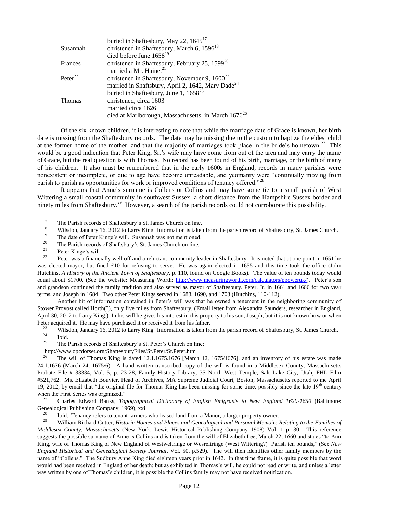|                     | buried in Shaftesbury, May 22, $1645^{17}$                      |
|---------------------|-----------------------------------------------------------------|
| Susannah            | christened in Shaftesbury, March 6, 1596 <sup>18</sup>          |
|                     | died before June $1658^{19}$                                    |
| Frances             | christened in Shaftesbury, February 25, 1599 <sup>20</sup>      |
|                     | married a Mr. Haine. <sup>21</sup>                              |
| Peter <sup>22</sup> | christened in Shaftesbury, November 9, $1600^{23}$              |
|                     | married in Shaftsbury, April 2, 1642, Mary Dade <sup>24</sup>   |
|                     | buried in Shaftesbury, June 1, $1658^{25}$                      |
| Thomas              | christened, circa 1603                                          |
|                     | married circa 1626                                              |
|                     | died at Marlborough, Massachusetts, in March 1676 <sup>26</sup> |

Of the six known children, it is interesting to note that while the marriage date of Grace is known, her birth date is missing from the Shaftesbury records. The date may be missing due to the custom to baptize the eldest child at the former home of the mother, and that the majority of marriages took place in the bride's hometown.<sup>27</sup> This would be a good indication that Peter King, Sr.'s wife may have come from out of the area and may carry the name of Grace, but the real question is with Thomas. No record has been found of his birth, marriage, or the birth of many of his children. It also must be remembered that in the early 1600s in England, records in many parishes were nonexistent or incomplete, or due to age have become unreadable, and yeomanry were "continually moving from parish to parish as opportunities for work or improved conditions of tenancy offered."<sup>28</sup>

It appears that Anne's surname is Collens or Collins and may have some tie to a small parish of West Wittering a small coastal community in southwest Sussex, a short distance from the Hampshire Sussex border and ninety miles from Shaftesbury.<sup>29</sup> However, a search of the parish records could not corroborate this possibility.

<sup>19</sup> The date of Peter Kinge's will. Susannah was not mentioned.<br><sup>20</sup> The Parish records of Shaftsbury's St. James Church on line

l

Another bit of information contained in Peter's will was that he owned a tenement in the neighboring community of Stower Provost called Horth(?), only five miles from Shaftesbury. (Email letter from Alexandra Saunders, researcher in England, April 30, 2012 to Larry King.) In his will he gives his interest in this property to his son, Joseph, but it is not known how or when Peter acquired it. He may have purchased it or received it from his father.<br><sup>23</sup> Wilsdon, January 16, 2012 to Larry King, Information is taken from

<sup>23</sup> Wilsdon, January 16, 2012 to Larry King Information is taken from the parish record of Shaftesbury, St. James Church.<br><sup>24</sup> Ibid  $\frac{24}{25}$  Ibid.

- The Parish records of Shaftesbury's St. Peter's Church on line:
- http://www.opcdorset.org/ShaftesburyFiles/St.Peter/St.Peter.htm

<sup>26</sup> The will of Thomas King is dated 12.1.1675.1676 [March 12, 1675/1676], and an inventory of his estate was made 24.1.1676 (March 24, 1675/6). A hand written transcribed copy of the will is found in a Middlesex County, Massachusetts Probate File #133334, Vol. 5, p. 23-28, Family History Library, 35 North West Temple, Salt Lake City, Utah, FHL Film #521,762. Ms. Elizabeth Bouvier, Head of Archives, MA Supreme Judicial Court, Boston, Massachusetts reported to me April 19, 2012, by email that "the original file for Thomas King has been missing for some time: possibly since the late  $19<sup>th</sup>$  century when the First Series was organized."

<sup>27</sup> Charles Edward Banks, *Topographical Dictionary of English Emigrants to New England 1620-1650* (Baltimore: Genealogical Publishing Company, 1969), xxi

<sup>28</sup> Ibid. Tenancy refers to tenant farmers who leased land from a Manor, a larger property owner.<br><sup>29</sup> William Biobard Cutter, Historia Hamos and Blases and Cancelogiaal and Barsonal Mamoire.

<sup>29</sup> William Richard Cutter, *Historic Homes and Places and Genealogical and Personal Memoirs Relating to the Families of Middlesex County, Massachusetts* (New York: Lewis Historical Publishing Company 1908) Vol. 1 p.130. This reference suggests the possible surname of Anne is Collins and is taken from the will of Elizabeth Lee, March 22, 1660 and states "to Ann King, wife of Thomas King of New England of Westweltringe or Wesreitringe (West Wittering?) Parish ten pounds," (See *New England Historical and Genealogical Society Journal,* Vol. 50, p.529). The will then identifies other family members by the name of "Collens." The Sudbury Anne King died eighteen years prior in 1642. In that time frame, it is quite possible that word would had been received in England of her death; but as exhibited in Thomas's will, he could not read or write, and unless a letter was written by one of Thomas's children, it is possible the Collins family may not have received notification.

<sup>&</sup>lt;sup>17</sup> The Parish records of Shaftesbury's St. James Church on line.

<sup>&</sup>lt;sup>18</sup> Wilsdon, January 16, 2012 to Larry King Information is taken from the parish record of Shaftesbury, St. James Church.<br><sup>19</sup> The date of Peter Kinge's will, Susannah was not mentioned.

<sup>&</sup>lt;sup>20</sup> The Parish records of Shaftsbury's St. James Church on line.<br> **Pater Kinge's will** 

 $\frac{21}{22}$  Peter Kinge's will

<sup>22</sup> Peter was a financially well off and a reluctant community leader in Shaftesbury. It is noted that at one point in 1651 he was elected mayor, but fined £10 for refusing to serve. He was again elected in 1655 and this time took the office (John Hutchins, *A History of the Ancient Town of Shaftesbury*, p. 110, found on Google Books). The value of ten pounds today would equal about \$1700. (See the website: Measuring Worth: [http://www.measuringworth.com/calculators/ppoweruk/\)](http://www.measuringworth.com/calculators/ppoweruk/). Peter's son and grandson continued the family tradition and also served as mayor of Shaftesbury. Peter, Jr. in 1661 and 1666 for two year terms, and Joseph in 1684. Two other Peter Kings served in 1688, 1690, and 1703 (Hutchins, 110-112).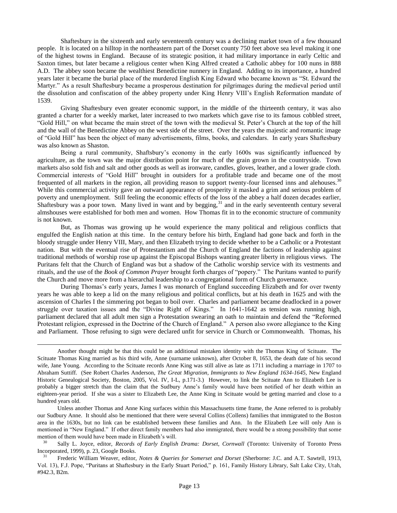Shaftesbury in the sixteenth and early seventeenth century was a declining market town of a few thousand people. It is located on a hilltop in the northeastern part of the Dorset county 750 feet above sea level making it one of the highest towns in England. Because of its strategic position, it had military importance in early Celtic and Saxton times, but later became a religious center when King Alfred created a Catholic abbey for 100 nuns in 888 A.D. The abbey soon became the wealthiest Benedictine nunnery in England. Adding to its importance, a hundred years later it became the burial place of the murdered English King Edward who became known as "St. Edward the Martyr." As a result Shaftesbury became a prosperous destination for pilgrimages during the medieval period until the dissolution and confiscation of the abbey property under King Henry VIII's English Reformation mandate of 1539.

Giving Shaftesbury even greater economic support, in the middle of the thirteenth century, it was also granted a charter for a weekly market, later increased to two markets which gave rise to its famous cobbled street, "Gold Hill," on what became the main street of the town with the medieval St. Peter's Church at the top of the hill and the wall of the Benedictine Abbey on the west side of the street. Over the years the majestic and romantic image of "Gold Hill" has been the object of many advertisements, films, books, and calendars. In early years Shaftesbury was also known as Shaston.

Being a rural community, Shaftsbury's economy in the early 1600s was significantly influenced by agriculture, as the town was the major distribution point for much of the grain grown in the countryside. Town markets also sold fish and salt and other goods as well as ironware, candles, gloves, leather, and a lower grade cloth. Commercial interests of "Gold Hill" brought in outsiders for a profitable trade and became one of the most frequented of all markets in the region, all providing reason to support twenty-four licensed inns and alehouses.<sup>30</sup> While this commercial activity gave an outward appearance of prosperity it masked a grim and serious problem of poverty and unemployment. Still feeling the economic effects of the loss of the abbey a half dozen decades earlier, Shaftesbury was a poor town. Many lived in want and by begging,<sup>31</sup> and in the early seventeenth century several almshouses were established for both men and women. How Thomas fit in to the economic structure of community is not known.

But, as Thomas was growing up he would experience the many political and religious conflicts that engulfed the English nation at this time. In the century before his birth, England had gone back and forth in the bloody struggle under Henry VIII, Mary, and then Elizabeth trying to decide whether to be a Catholic or a Protestant nation. But with the eventual rise of Protestantism and the Church of England the factions of leadership against traditional methods of worship rose up against the Episcopal Bishops wanting greater liberty in religious views. The Puritans felt that the Church of England was but a shadow of the Catholic worship service with its vestments and rituals, and the use of the *Book of Common Prayer* brought forth charges of "popery." The Puritans wanted to purify the Church and move more from a hierarchal leadership to a congregational form of Church governance.

During Thomas's early years, James I was monarch of England succeeding Elizabeth and for over twenty years he was able to keep a lid on the many religious and political conflicts, but at his death in 1625 and with the ascension of Charles I the simmering pot began to boil over. Charles and parliament became deadlocked in a power struggle over taxation issues and the "Divine Right of Kings." In 1641-1642 as tension was running high, parliament declared that all adult men sign a Protestation swearing an oath to maintain and defend the "Reformed Protestant religion, expressed in the Doctrine of the Church of England." A person also swore allegiance to the King and Parliament. Those refusing to sign were declared unfit for service in Church or Commonwealth. Thomas, his

Another thought might be that this could be an additional mistaken identity with the Thomas King of Scituate. The Scituate Thomas King married as his third wife, Anne (surname unknown), after October 8, 1653, the death date of his second wife, Jane Young. According to the Scituate records Anne King was still alive as late as 1711 including a marriage in 1707 to Abraham Suttiff. (See Robert Charles Anderson, *The Great Migration, Immigrants to New England 1634-1645,* New England Historic Genealogical Society, Boston, 2005, Vol. IV, I-L, p.171-3.) However, to link the Scituate Ann to Elizabeth Lee is probably a bigger stretch than the claim that the Sudbury Anne's family would have been notified of her death within an eighteen-year period. If she was a sister to Elizabeth Lee, the Anne King in Scituate would be getting married and close to a hundred years old.

-

Unless another Thomas and Anne King surfaces within this Massachusetts time frame, the Anne referred to is probably our Sudbury Anne. It should also be mentioned that there were several Collins (Collens) families that immigrated to the Boston area in the 1630s, but no link can be established between these families and Ann. In the Elizabeth Lee will only Ann is mentioned in "New England." If other direct family members had also immigrated, there would be a strong possibility that some mention of them would have been made in Elizabeth's will.

<sup>30</sup> Sally L. Joyce, editor, *Records of Early English Drama: Dorset, Cornwall* (Toronto: University of Toronto Press Incorporated, 1999), p. 23, Google Books.

<sup>31</sup> Frederic William Weaver, editor, *Notes & Queries for Somerset and Dorset* (Sherborne: J.C. and A.T. Sawtell, 1913, Vol. 13), F.J. Pope, "Puritans at Shaftesbury in the Early Stuart Period," p. 161, Family History Library, Salt Lake City, Utah, #942.3, B2m.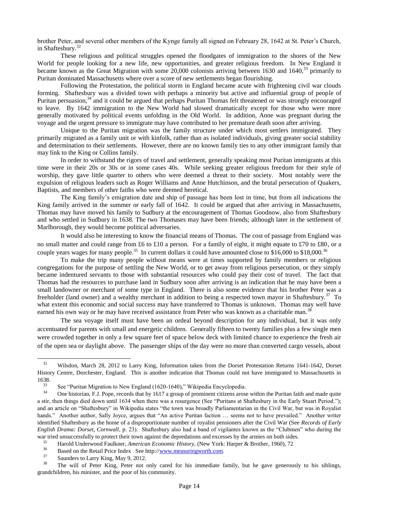brother Peter, and several other members of the Kynge family all signed on February 28, 1642 at St. Peter's Church, in Shaftesbury.<sup>32</sup>

These religious and political struggles opened the floodgates of immigration to the shores of the New World for people looking for a new life, new opportunities, and greater religious freedom. In New England it became known as the Great Migration with some 20,000 colonists arriving between 1630 and 1640,<sup>33</sup> primarily to Puritan dominated Massachusetts where over a score of new settlements began flourishing.

Following the Protestation, the political storm in England became acute with frightening civil war clouds forming. Shaftesbury was a divided town with perhaps a minority but active and influential group of people of Puritan persuasion,<sup>34</sup> and it could be argued that perhaps Puritan Thomas felt threatened or was strongly encouraged to leave. By 1642 immigration to the New World had slowed dramatically except for those who were more generally motivated by political events unfolding in the Old World. In addition, Anne was pregnant during the voyage and the urgent pressure to immigrate may have contributed to her premature death soon after arriving.

Unique to the Puritan migration was the family structure under which most settlers immigrated. They primarily migrated as a family unit or with kinfolk, rather than as isolated individuals, giving greater social stability and determination to their settlements. However, there are no known family ties to any other immigrant family that may link to the King or Collins family.

In order to withstand the rigors of travel and settlement, generally speaking most Puritan immigrants at this time were in their 20s or 30s or in some cases 40s. While seeking greater religious freedom for their style of worship, they gave little quarter to others who were deemed a threat to their society. Most notably were the expulsion of religious leaders such as Roger Williams and Anne Hutchinson, and the brutal persecution of Quakers, Baptists, and members of other faiths who were deemed heretical.

The King family's emigration date and ship of passage has been lost in time, but from all indications the King family arrived in the summer or early fall of 1642. It could be argued that after arriving in Massachusetts, Thomas may have moved his family to Sudbury at the encouragement of Thomas Goodnow, also from Shaftesbury and who settled in Sudbury in 1638. The two Thomases may have been friends; although later in the settlement of Marlborough, they would become political adversaries.

It would also be interesting to know the financial means of Thomas. The cost of passage from England was no small matter and could range from £6 to £10 a person. For a family of eight, it might equate to £70 to £80, or a couple years wages for many people.<sup>35</sup> In current dollars it could have amounted close to \$16,000 to \$18,000.<sup>36</sup>

To make the trip many people without means were at times supported by family members or religious congregations for the purpose of settling the New World, or to get away from religious persecution, or they simply became indentured servants to those with substantial resources who could pay their cost of travel. The fact that Thomas had the resources to purchase land in Sudbury soon after arriving is an indication that he may have been a small landowner or merchant of some type in England. There is also some evidence that his brother Peter was a freeholder (land owner) and a wealthy merchant in addition to being a respected town mayor in Shaftesbury.<sup>37</sup> To what extent this economic and social success may have transferred to Thomas is unknown. Thomas may well have earned his own way or he may have received assistance from Peter who was known as a charitable man.<sup>38</sup>

The sea voyage itself must have been an ordeal beyond description for any individual, but it was only accentuated for parents with small and energetic children. Generally fifteen to twenty families plus a few single men were crowded together in only a few square feet of space below deck with limited chance to experience the fresh air of the open sea or daylight above. The passenger ships of the day were no more than converted cargo vessels, about

<sup>&</sup>lt;sup>32</sup> Wilsdon, March 28, 2012 to Larry King, Information taken from the Dorset Protestation Returns 1641-1642, Dorset History Centre, Dorchester, England. This is another indication that Thomas could not have immigrated to Massachusetts in  $1638.$ <sub>33</sub>

<sup>&</sup>lt;sup>33</sup> See "Puritan Migration to New England (1620-1640)," Wikipedia Encyclopedia.<br>
One historian E.I. Pope, records that by 1617.<sup>3</sup> group of prominent citizens arose

<sup>34</sup> One historian, F.J. Pope, records that by 1617 a group of prominent citizens arose within the Puritan faith and made quite a stir, then things died down until 1634 when there was a resurgence (See "Puritans at Shaftesbury in the Early Stuart Period."); and an article on "Shaftesbury" in Wikipedia states "the town was broadly Parliamentarian in the Civil War, but was in Royalist hands." Another author, Sally Joyce, argues that "An active Puritan faction ... seems not to have prevailed." Another writer identified Shaftesbury as the home of a disproportionate number of royalist pensioners after the Civil War (See *Records of Early English Drama: Dorset, Cornwall*, p. 23). Shaftesbury also had a band of vigilantes known as the "Clubmen" who during the war tried unsuccessfully to protect their town against the depredations and excesses by the armies on both sides.

<sup>&</sup>lt;sup>35</sup> Harold Underwood Faulkner, *American Economic History*, (New York: Harper & Brother, 1960), 72<sup>36</sup> Based on the Patail Price Index. See http://www.measuringworth.com

<sup>&</sup>lt;sup>36</sup> Based on the Retail Price Index See http://<u>www.measuringworth.com</u>.<br><sup>37</sup> Saunders to Larry King, May 9, 2012

 $\frac{37}{38}$  Saunders to Larry King, May 9, 2012.

<sup>38</sup> The will of Peter King, Peter not only cared for his immediate family, but he gave generously to his siblings, grandchildren, his minister, and the poor of his community.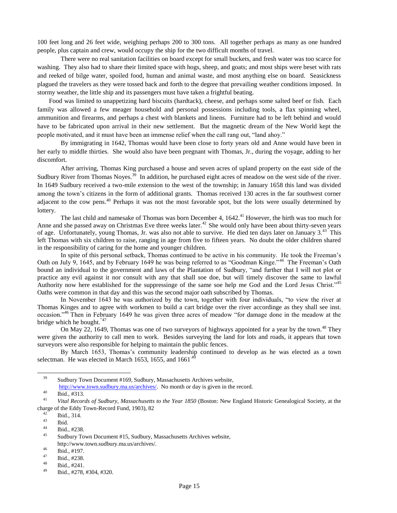100 feet long and 26 feet wide, weighing perhaps 200 to 300 tons. All together perhaps as many as one hundred people, plus captain and crew, would occupy the ship for the two difficult months of travel.

There were no real sanitation facilities on board except for small buckets, and fresh water was too scarce for washing. They also had to share their limited space with hogs, sheep, and goats; and most ships were beset with rats and reeked of bilge water, spoiled food, human and animal waste, and most anything else on board. Seasickness plagued the travelers as they were tossed back and forth to the degree that prevailing weather conditions imposed. In stormy weather, the little ship and its passengers must have taken a frightful beating.

Food was limited to unappetizing hard biscuits (hardtack), cheese, and perhaps some salted beef or fish. Each family was allowed a few meager household and personal possessions including tools, a flax spinning wheel, ammunition and firearms, and perhaps a chest with blankets and linens. Furniture had to be left behind and would have to be fabricated upon arrival in their new settlement. But the magnetic dream of the New World kept the people motivated, and it must have been an immense relief when the call rang out, "land ahoy."

By immigrating in 1642, Thomas would have been close to forty years old and Anne would have been in her early to middle thirties. She would also have been pregnant with Thomas, Jr., during the voyage, adding to her discomfort.

After arriving, Thomas King purchased a house and seven acres of upland property on the east side of the Sudbury River from Thomas Noyes.<sup>39</sup> In addition, he purchased eight acres of meadow on the west side of the river. In 1649 Sudbury received a two-mile extension to the west of the township; in January 1658 this land was divided among the town's citizens in the form of additional grants. Thomas received 130 acres in the far southwest corner adjacent to the cow pens.<sup>40</sup> Perhaps it was not the most favorable spot, but the lots were usually determined by lottery.

The last child and namesake of Thomas was born December 4, 1642.<sup>41</sup> However, the birth was too much for Anne and she passed away on Christmas Eve three weeks later.<sup>42</sup> She would only have been about thirty-seven years of age. Unfortunately, young Thomas, Jr. was also not able to survive. He died ten days later on January 3.<sup>43</sup> This left Thomas with six children to raise, ranging in age from five to fifteen years. No doubt the older children shared in the responsibility of caring for the home and younger children.

In spite of this personal setback, Thomas continued to be active in his community. He took the Freeman's Oath on July 9, 1645, and by February 1649 he was being referred to as "Goodman Kinge."<sup>44</sup> The Freeman's Oath bound an individual to the government and laws of the Plantation of Sudbury, "and further that I will not plot or practice any evil against it nor consult with any that shall soe doe, but will timely discover the same to lawful Authority now here established for the suppressinge of the same soe help me God and the Lord Jesus Christ."<sup>45</sup> Oaths were common in that day and this was the second major oath subscribed by Thomas.

In November 1643 he was authorized by the town, together with four individuals, "to view the river at Thomas Kinges and to agree with workmen to build a cart bridge over the river accordinge as they shall see inst. occasion."<sup>46</sup> Then in February 1649 he was given three acres of meadow "for damage done in the meadow at the bridge which he bought."47

On May 22, 1649, Thomas was one of two surveyors of highways appointed for a year by the town.<sup>48</sup> They were given the authority to call men to work. Besides surveying the land for lots and roads, it appears that town surveyors were also responsible for helping to maintain the public fences.

By March 1653, Thomas's community leadership continued to develop as he was elected as a town selectman. He was elected in March 1653, 1655, and  $1661<sup>4</sup>$ 

<sup>39</sup> Sudbury Town Document #169, Sudbury, Massachusetts Archives website, [http://www.town.sudbury.ma.us/archives/.](http://www.town.sudbury.ma.us/archives/) No month or day is given in the record.

<sup>40</sup> Ibid.,  $\#313$ .

<sup>41</sup> *Vital Records of Sudbury, Massachusetts to the Year 1850* (Boston: New England Historic Genealogical Society, at the charge of the Eddy Town-Record Fund, 1903), 82

 $\frac{42}{43}$  Ibid., 314.

 $\begin{array}{c} 43 \\ 44 \end{array}$  Ibid.

 $\frac{44}{45}$  Ibid., #238.

Sudbury Town Document #15, Sudbury, Massachusetts Archives website, http://www.town.sudbury.ma.us/archives/.

 $\frac{46}{47}$  Ibid., #197.

 $\frac{47}{48}$  Ibid., #238.

 $\frac{48}{49}$  Ibid., #241.

Ibid., #278, #304, #320.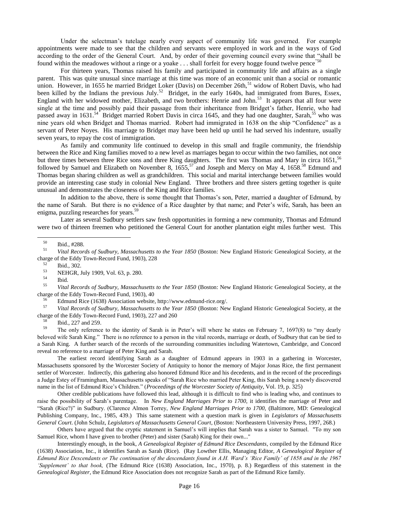Under the selectman's tutelage nearly every aspect of community life was governed. For example appointments were made to see that the children and servants were employed in work and in the ways of God according to the order of the General Court. And, by order of their governing council every swine that "shall be found within the meadowes without a ringe or a yoake  $\dots$  shall forfeit for every hogge found twelve pence"<sup>50</sup>

For thirteen years, Thomas raised his family and participated in community life and affairs as a single parent. This was quite unusual since marriage at this time was more of an economic unit than a social or romantic union. However, in 1655 he married Bridget Loker (Davis) on December 26th,<sup>51</sup> widow of Robert Davis, who had been killed by the Indians the previous July.<sup>52</sup> Bridget, in the early 1640s, had immigrated from Bures, Essex, England with her widowed mother, Elizabeth, and two brothers: Henrie and John.<sup>53</sup> It appears that all four were single at the time and possibly paid their passage from their inheritance from Bridget's father, Henrie, who had passed away in 1631.<sup>54</sup> Bridget married Robert Davis in circa 1645, and they had one daughter, Sarah,<sup>55</sup> who was nine years old when Bridget and Thomas married. Robert had immigrated in 1638 on the ship "Confidence" as a servant of Peter Noyes. His marriage to Bridget may have been held up until he had served his indenture, usually seven years, to repay the cost of immigration.

As family and community life continued to develop in this small and fragile community, the friendship between the Rice and King families moved to a new level as marriages began to occur within the two families, not once but three times between three Rice sons and three King daughters. The first was Thomas and Mary in circa 1651,<sup>56</sup> followed by Samuel and Elizabeth on November 8, 1655,<sup>57</sup> and Joseph and Mercy on May 4, 1658.<sup>58</sup> Edmund and Thomas began sharing children as well as grandchildren. This social and marital interchange between families would provide an interesting case study in colonial New England. Three brothers and three sisters getting together is quite unusual and demonstrates the closeness of the King and Rice families.

In addition to the above, there is some thought that Thomas's son, Peter, married a daughter of Edmund, by the name of Sarah. But there is no evidence of a Rice daughter by that name; and Peter's wife, Sarah, has been an enigma, puzzling researches for years.<sup>59</sup>

Later as several Sudbury settlers saw fresh opportunities in forming a new community, Thomas and Edmund were two of thirteen freemen who petitioned the General Court for another plantation eight miles further west. This

l

<sup>55</sup> *Vital Records of Sudbury, Massachusetts to the Year 1850* (Boston: New England Historic Genealogical Society, at the charge of the Eddy Town-Record Fund, 1903), 40

<sup>56</sup> Edmund Rice (1638) Association website, http://www.edmund-rice.org/.<br> $V_{tot}$  Passache of Sullaway Massociation to the New 1950 (Destrum Marc

<sup>57</sup> *Vital Records of Sudbury, Massachusetts to the Year 1850* (Boston: New England Historic Genealogical Society, at the charge of the Eddy Town-Record Fund, 1903), 227 and 260

 $\frac{58}{59}$  Ibid., 227 and 259.

<sup>59</sup> The only reference to the identity of Sarah is in Peter's will where he states on February 7, 1697(8) to "my dearly beloved wife Sarah King." There is no reference to a person in the vital records, marriage or death, of Sudbury that can be tied to a Sarah King. A further search of the records of the surrounding communities including Watertown, Cambridge, and Concord reveal no reference to a marriage of Peter King and Sarah.

The earliest record identifying Sarah as a daughter of Edmund appears in 1903 in a gathering in Worcester, Massachusetts sponsored by the Worcester Society of Antiquity to honor the memory of Major Jonas Rice, the first permanent settler of Worcester. Indirectly, this gathering also honored Edmund Rice and his decedents, and in the record of the proceedings a Judge Estey of Framingham, Massachusetts speaks of "Sarah Rice who married Peter King, this Sarah being a newly discovered name in the list of Edmund Rice's Children." (*Proceedings of the Worcester Society of Antiquity*, Vol. 19, p. 325)

Other credible publications have followed this lead, although it is difficult to find who is leading who, and continues to raise the possibility of Sarah's parentage. In *New England Marriages Prior to 1700,* it identifies the marriage of Peter and "Sarah (Rice?)" in Sudbury. (Clarence Almon Torrey, *New England Marriages Prior to 1700,* (Baltimore, MD: Genealogical Publishing Company, Inc., 1985, 439.) This same statement with a question mark is given in *Legislators of Massachusetts General Court*. (John Schulz, *Legislators of Massachusetts General Court*, (Boston: Northeastern University Press, 1997, 268.)

Others have argued that the cryptic statement in Samuel's will implies that Sarah was a sister to Samuel. "To my son Samuel Rice, whom I have given to brother (Peter) and sister (Sarah) King for their own..."

Interestingly enough, in the book, *A Genealogical Register of Edmund Rice Descendants*, compiled by the Edmund Rice (1638) Association, Inc., it identifies Sarah as Sarah (Rice). (Ray Lowther Ellis, Managing Editor, *A Genealogical Register of Edmund Rice Descendants or The continuation of the descendants found in A.H. Ward's 'Rice Family' of 1858 and in the 1967 'Supplement' to that book,* (The Edmund Rice (1638) Association, Inc., 1970), p. 8.) Regardless of this statement in the *Genealogical Register*, the Edmund Rice Association does not recognize Sarah as part of the Edmund Rice family.

 $^{50}$  Ibid., #288.<br> $^{51}$  Vital Pecor

<sup>51</sup> *Vital Records of Sudbury, Massachusetts to the Year 1850* (Boston: New England Historic Genealogical Society, at the charge of the Eddy Town-Record Fund, 1903), 228

 $\begin{array}{c} 52 \\ 53 \end{array}$  Ibid., 302.

 $^{53}$  NEHGR, July 1909, Vol. 63, p. 280.

 $rac{54}{55}$  Ibid.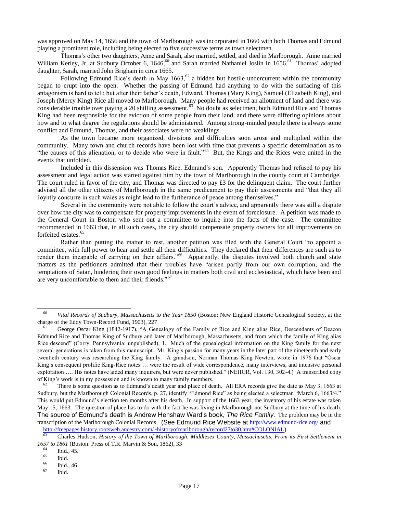was approved on May 14, 1656 and the town of Marlborough was incorporated in 1660 with both Thomas and Edmund playing a prominent role, including being elected to five successive terms as town selectmen.

Thomas's other two daughters, Anne and Sarah, also married, settled, and died in Marlborough. Anne married William Kerley, Jr. at Sudbury October 6, 1646,<sup>60</sup> and Sarah married Nathaniel Joslin in 1656.<sup>61</sup> Thomas' adopted daughter, Sarah, married John Brigham in circa 1665.

Following Edmund Rice's death in May 1663,<sup>62</sup> a hidden but hostile undercurrent within the community began to erupt into the open. Whether the passing of Edmund had anything to do with the surfacing of this antagonism is hard to tell; but after their father's death, Edward, Thomas (Mary King), Samuel (Elizabeth King), and Joseph (Mercy King) Rice all moved to Marlborough. Many people had received an allotment of land and there was considerable trouble over paying a 20 shilling assessment.<sup>63</sup> No doubt as selectmen, both Edmund Rice and Thomas King had been responsible for the eviction of some people from their land, and there were differing opinions about how and to what degree the regulations should be administered. Among strong-minded people there is always some conflict and Edmund, Thomas, and their associates were no weaklings.

As the town became more organized, divisions and difficulties soon arose and multiplied within the community. Many town and church records have been lost with time that prevents a specific determination as to "the causes of this alienation, or to decide who were in fault."<sup>64</sup> But, the Kings and the Rices were united in the events that unfolded.

Included in this dissension was Thomas Rice, Edmund's son. Apparently Thomas had refused to pay his assessment and legal action was started against him by the town of Marlborough in the county court at Cambridge. The court ruled in favor of the city, and Thomas was directed to pay  $\pounds 3$  for the delinquent claim. The court further advised all the other citizens of Marlborough in the same predicament to pay their assessments and "that they all Joyntly concurre in such waies as might lead to the furtherance of peace among themselves."

Several in the community were not able to follow the court's advice, and apparently there was still a dispute over how the city was to compensate for property improvements in the event of foreclosure. A petition was made to the General Court in Boston who sent out a committee to inquire into the facts of the case. The committee recommended in 1663 that, in all such cases, the city should compensate property owners for all improvements on forfeited estates.<sup>65</sup>

Rather than putting the matter to rest, another petition was filed with the General Court "to appoint a committee, with full power to hear and settle all their difficulties. They declared that their differences are such as to render them incapable of carrying on their affairs."<sup>66</sup> Apparently, the disputes involved both church and state matters as the petitioners admitted that their troubles have "arisen partly from our own corruption, and the temptations of Satan, hindering their own good feelings in matters both civil and ecclesiastical, which have been and are very uncomfortable to them and their friends."<sup>67</sup>

<sup>60</sup> *Vital Records of Sudbury, Massachusetts to the Year 1850* (Boston: New England Historic Genealogical Society, at the charge of the Eddy Town-Record Fund, 1903), 227

<sup>61</sup> George Oscar King (1842-1917), "A Genealogy of the Family of Rice and King alias Rice, Descendants of Deacon Edmund Rice and Thomas King of Sudbury and later of Marlborough, Massachusetts, and from which the family of King alias Rice descend" (Corry, Pennsylvania: unpublished), 1. Much of the genealogical information on the King family for the next several generations is taken from this manuscript. Mr. King's passion for many years in the later part of the nineteenth and early twentieth century was researching the King family. A grandson, Norman Thomas King Newton, wrote in 1976 that "Oscar King's consequent prolific King-Rice notes … were the result of wide correspondence, many interviews, and intensive personal exploration …. His notes have aided many inquirers, but were never published." (NEHGR, Vol. 130, 302-4.) A transcribed copy of King's work is in my possession and is known to many family members.<br> $\frac{62}{2}$  There is some question as to Edmund's doath year and place of deal

There is some question as to Edmund's death year and place of death. All ERA records give the date as May 3, 1663 at Sudbury, but the Marlborough Colonial Records, p. 27, identify "Edmond Rice" as being elected a selectman "March 6, 1663/4." This would put Edmund's election ten months after his death. In support of the 1663 year, the inventory of his estate was taken May 15, 1663. The question of place has to do with the fact he was living in Marlborough not Sudbury at the time of his death. The source of Edmund's death is Andrew Henshaw Ward's book, *The Rice Family*. The problem may be in the transcription of the Marlborough Colonial Records. (See Edmund Rice Website at <http://www.edmund-rice.org/> and

[http://freepages.history.rootsweb.ancestry.com/~historyofmarlborough/record27to30.htm#COLONIAL\)](http://freepages.history.rootsweb.ancestry.com/~historyofmarlborough/record27to30.htm#COLONIAL). <sup>63</sup> Charles Hudson, *History of the Town of Marlborough, Middlesex County, Massachusetts, From its First Settlement in* 

*<sup>1657</sup> to 1861* (Boston: Press of T.R. Marvin & Son, 1862), 33

 $^{64}$  Ibid., 45.

 $\begin{array}{c} 65 \\ 66 \end{array}$  Ibid.

 $\begin{array}{c} 66 \\ 67 \end{array}$  Ibid., 46

Ibid.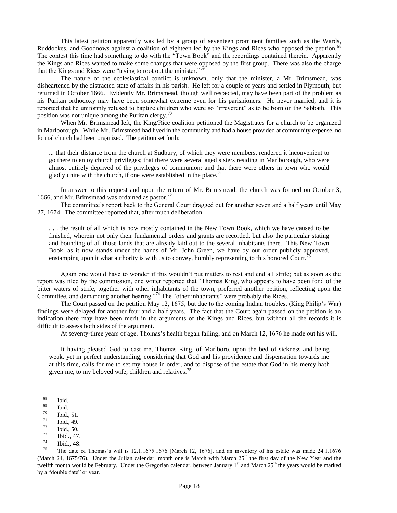This latest petition apparently was led by a group of seventeen prominent families such as the Wards, Ruddockes, and Goodnows against a coalition of eighteen led by the Kings and Rices who opposed the petition.<sup>68</sup> The contest this time had something to do with the "Town Book" and the recordings contained therein. Apparently the Kings and Rices wanted to make some changes that were opposed by the first group. There was also the charge that the Kings and Rices were "trying to root out the minister." $\frac{65}{9}$ 

The nature of the ecclesiastical conflict is unknown, only that the minister, a Mr. Brimsmead, was disheartened by the distracted state of affairs in his parish. He left for a couple of years and settled in Plymouth; but returned in October 1666. Evidently Mr. Brimsmead, though well respected, may have been part of the problem as his Puritan orthodoxy may have been somewhat extreme even for his parishioners. He never married, and it is reported that he uniformly refused to baptize children who were so "irreverent" as to be born on the Sabbath. This position was not unique among the Puritan clergy. $\frac{70}{2}$ 

When Mr. Brimsmead left, the King/Rice coalition petitioned the Magistrates for a church to be organized in Marlborough. While Mr. Brimsmead had lived in the community and had a house provided at community expense, no formal church had been organized. The petition set forth:

... that their distance from the church at Sudbury, of which they were members, rendered it inconvenient to go there to enjoy church privileges; that there were several aged sisters residing in Marlborough, who were almost entirely deprived of the privileges of communion; and that there were others in town who would gladly unite with the church, if one were established in the place.<sup>7</sup>

In answer to this request and upon the return of Mr. Brimsmead, the church was formed on October 3, 1666, and Mr. Brimsmead was ordained as pastor. $^{72}$ 

The committee's report back to the General Court dragged out for another seven and a half years until May 27, 1674. The committee reported that, after much deliberation,

. . . the result of all which is now mostly contained in the New Town Book, which we have caused to be finished, wherein not only their fundamental orders and grants are recorded, but also the particular stating and bounding of all those lands that are already laid out to the several inhabitants there. This New Town Book, as it now stands under the hands of Mr. John Green, we have by our order publicly approved, enstamping upon it what authority is with us to convey, humbly representing to this honored Court.<sup>7</sup>

Again one would have to wonder if this wouldn't put matters to rest and end all strife; but as soon as the report was filed by the commission, one writer reported that "Thomas King, who appears to have been fond of the bitter waters of strife, together with other inhabitants of the town, preferred another petition, reflecting upon the Committee, and demanding another hearing."<sup>74</sup> The "other inhabitants" were probably the Rices.

The Court passed on the petition May 12, 1675; but due to the coming Indian troubles, (King Philip's War) findings were delayed for another four and a half years. The fact that the Court again passed on the petition is an indication there may have been merit in the arguments of the Kings and Rices, but without all the records it is difficult to assess both sides of the argument.

At seventy-three years of age, Thomas's health began failing; and on March 12, 1676 he made out his will.

It having pleased God to cast me, Thomas King, of Marlboro, upon the bed of sickness and being weak, yet in perfect understanding, considering that God and his providence and dispensation towards me at this time, calls for me to set my house in order, and to dispose of the estate that God in his mercy hath given me, to my beloved wife, children and relatives.<sup>75</sup>

 $\begin{array}{c} 68 \\ 69 \end{array}$  Ibid.

 $\frac{69}{70}$  Ibid.

 $\frac{70}{71}$  Ibid., 51.

 $\frac{71}{72}$  Ibid., 49.

 $\frac{72}{73}$  Ibid., 50.

 $\frac{73}{74}$  Ibid., 47.

 $\frac{74}{75}$  Ibid., 48.

The date of Thomas's will is  $12.1.1675.1676$  [March 12, 1676], and an inventory of his estate was made  $24.1.1676$ (March 24, 1675/76). Under the Julian calendar, month one is March with March  $25<sup>th</sup>$  the first day of the New Year and the twelfth month would be February. Under the Gregorian calendar, between January  $1<sup>st</sup>$  and March  $25<sup>th</sup>$  the years would be marked by a "double date" or year.